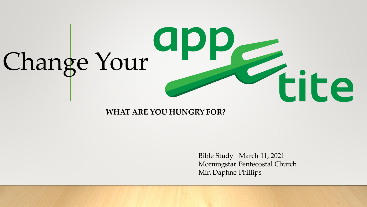

#### **WHAT ARE YOU HUNGRY FOR?**

Bible Study March 11, 2021 Morningstar Pentecostal Church Min Daphne Phillips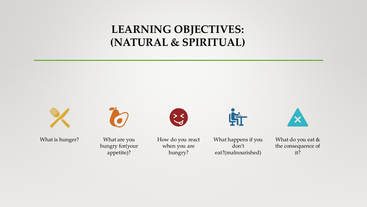#### **LEARNING OBJECTIVES: (NATURAL & SPIRITUAL)**



What is hunger? What are you



hungry for(your appetite)?



How do you react when you are hungry?

What happens if you don't eat?(malnourished)

Lit



What do you eat & the consequence of it?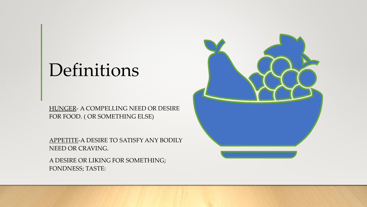## Definitions

HUNGER- A COMPELLING NEED OR DESIRE FOR FOOD. ( OR SOMETHING ELSE)

APPETITE-A DESIRE TO SATISFY ANY BODILY NEED OR CRAVING.

A DESIRE OR LIKING FOR SOMETHING; FONDNESS; TASTE:

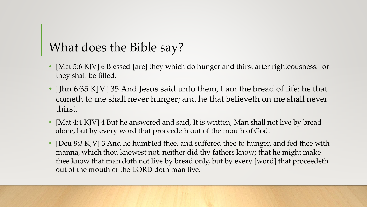#### What does the Bible say?

- [Mat 5:6 KJV] 6 Blessed [are] they which do hunger and thirst after righteousness: for they shall be filled.
- [Jhn 6:35 KJV] 35 And Jesus said unto them, I am the bread of life: he that cometh to me shall never hunger; and he that believeth on me shall never thirst.
- [Mat 4:4 KJV] 4 But he answered and said, It is written, Man shall not live by bread alone, but by every word that proceedeth out of the mouth of God.
- [Deu 8:3 KJV] 3 And he humbled thee, and suffered thee to hunger, and fed thee with manna, which thou knewest not, neither did thy fathers know; that he might make thee know that man doth not live by bread only, but by every [word] that proceedeth out of the mouth of the LORD doth man live.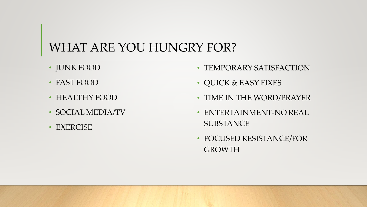#### WHAT ARE YOU HUNGRY FOR?

- JUNK FOOD
- FAST FOOD
- HEALTHY FOOD
- SOCIAL MEDIA/TV
- EXERCISE
- TEMPORARY SATISFACTION
- QUICK & EASY FIXES
- TIME IN THE WORD/PRAYER
- ENTERTAINMENT-NO REAL **SUBSTANCE**
- FOCUSED RESISTANCE/FOR GROWTH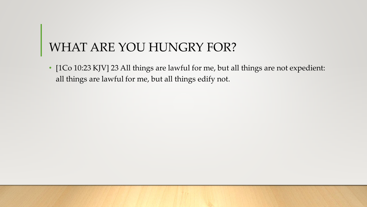#### WHAT ARE YOU HUNGRY FOR?

• [1Co 10:23 KJV] 23 All things are lawful for me, but all things are not expedient: all things are lawful for me, but all things edify not.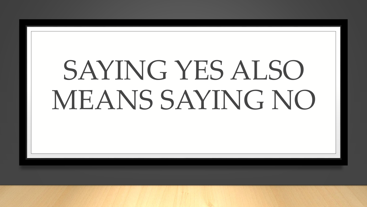# SAYING YES ALSO MEANS SAYING NO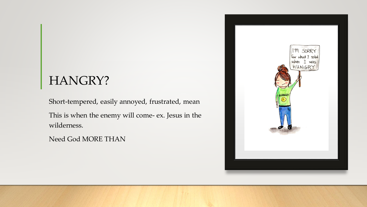#### HANGRY?

Short-tempered, easily annoyed, frustrated, mean This is when the enemy will come- ex. Jesus in the wilderness.

Need God MORE THAN

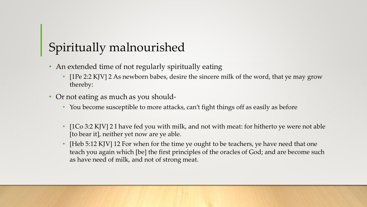### Spiritually malnourished

- An extended time of not regularly spiritually eating
	- [1Pe 2:2 KJV] 2 As newborn babes, desire the sincere milk of the word, that ye may grow thereby:
- Or not eating as much as you should-
	- You become susceptible to more attacks, can't fight things off as easily as before
	- [1Co 3:2 KJV] 2 I have fed you with milk, and not with meat: for hitherto ye were not able [to bear it], neither yet now are ye able.
	- [Heb 5:12 KJV] 12 For when for the time ye ought to be teachers, ye have need that one teach you again which [be] the first principles of the oracles of God; and are become such as have need of milk, and not of strong meat.